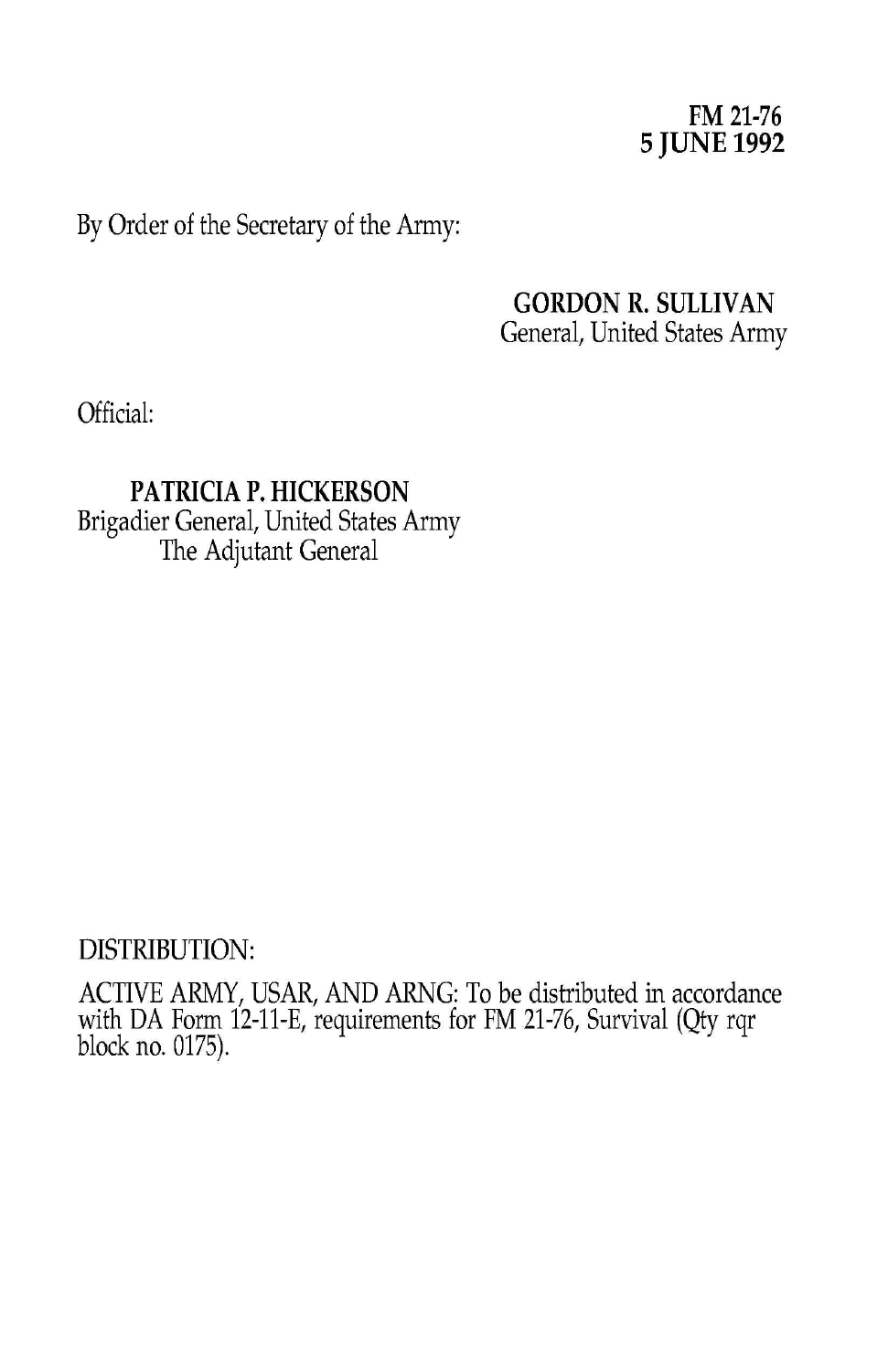### **FM 21-76 5 JUNE 1992**

By Order of the Secretary of the Army:

### **GORDON R. SULLIVAN** General, United States Army

Official:

**PATRICIA P. HICKERSON** Brigadier General, United States Army The Adjutant General

### DISTRIBUTION:

ACTIVE ARMY, USAR, AND ARNG: To be distributed in accordance with DA Form 12-11-E, requirements for FM 21-76, Survival (Qty rqr block no. 0175).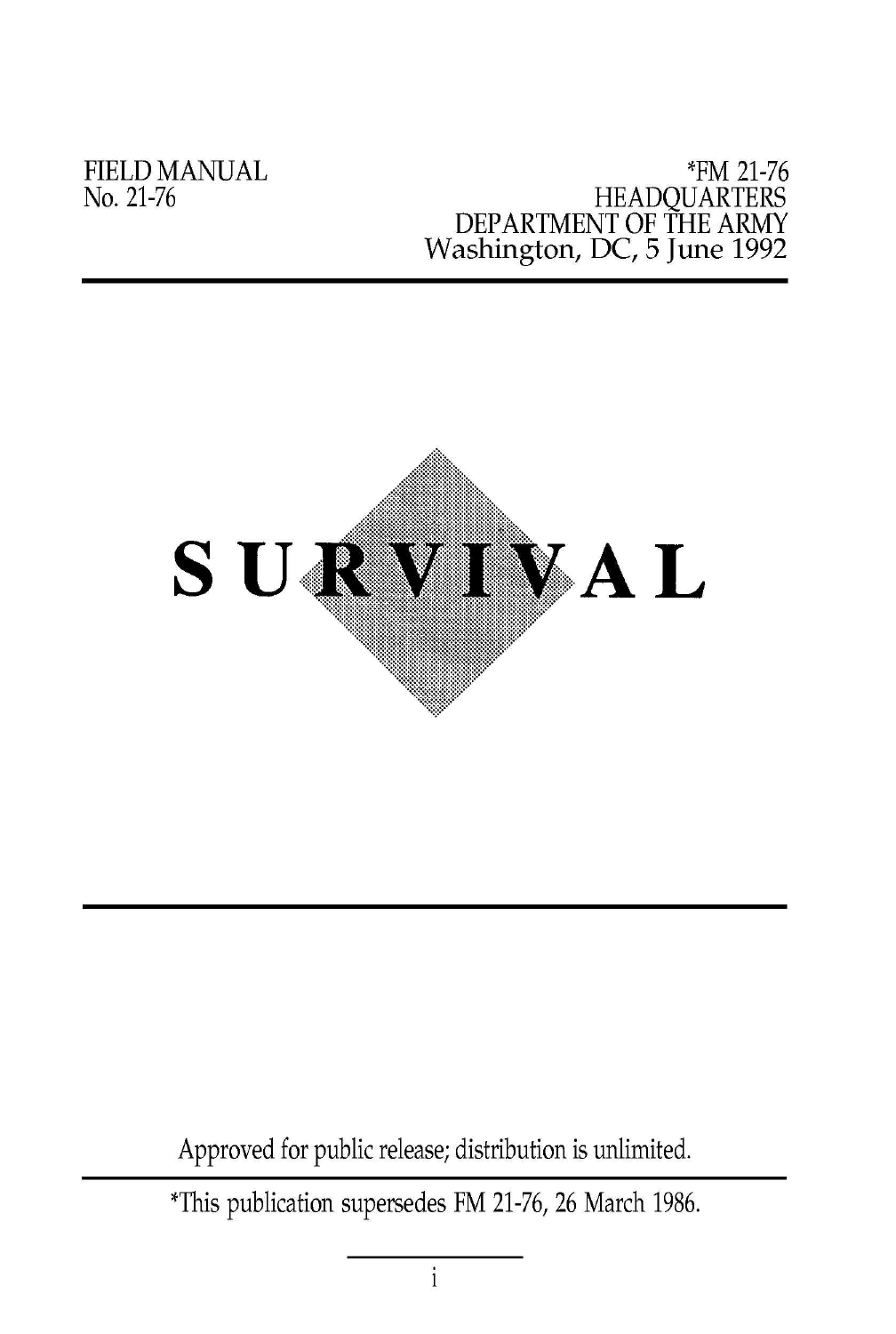FIELD MANUAL No. 21-76

#### \*FM 21-76 HEADQUARTERS DEPARTMENT OF THE ARMY Washington, DC, 5 June 1992



Approved for public release; distribution is unlimited.

\*This publication supersedes FM 21-76,26 March 1986.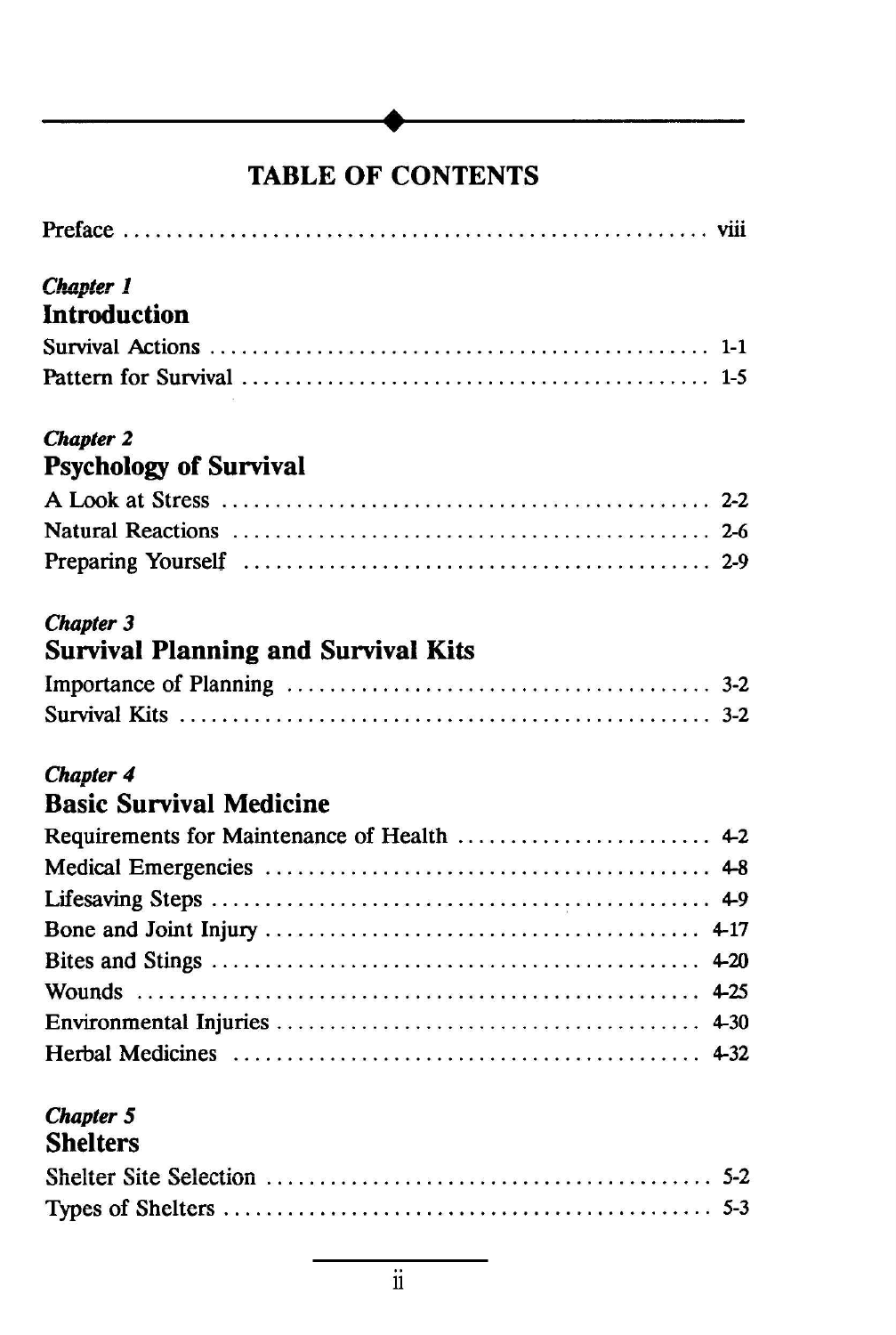# TABLE OF CONTENTS

**.**

| <b>Chapter 1</b>                           |  |
|--------------------------------------------|--|
| <b>Introduction</b>                        |  |
|                                            |  |
|                                            |  |
| <b>Chapter 2</b>                           |  |
| <b>Psychology of Survival</b>              |  |
|                                            |  |
|                                            |  |
|                                            |  |
| <b>Chapter 3</b>                           |  |
| <b>Survival Planning and Survival Kits</b> |  |
|                                            |  |
|                                            |  |
| <b>Chapter 4</b>                           |  |
| <b>Basic Survival Medicine</b>             |  |
|                                            |  |
|                                            |  |
|                                            |  |
|                                            |  |
|                                            |  |
|                                            |  |
|                                            |  |
|                                            |  |
| <b>Chapter 5</b>                           |  |

# Shelters C'1 <sup>14</sup> (:"I': '-" <sup>1</sup> "...':\_- *J:.* .., ~J1I;Ul;l ~UI; ~ll;\.oUUJ1 . . . . . . . . . . . . . . . . . . . . . . . . . . . . . . . . . . . . . . . . .. *.J-~* Types of Shelters. . . . . . . . . . . . . . . . . . . . . . . . . . . . . . . . . . . . . . . . . . . . .. 5-3